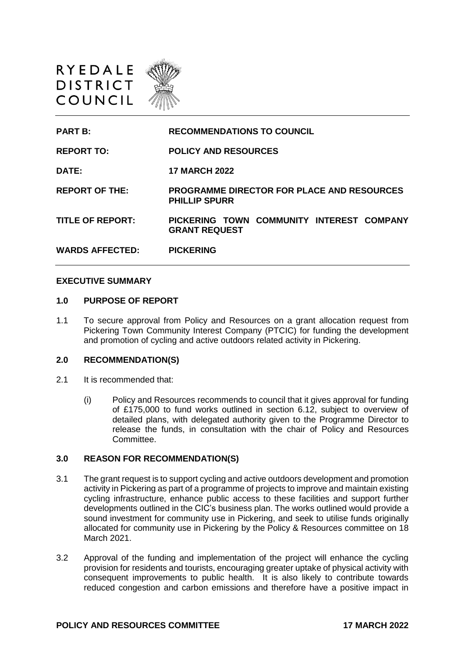



#### **EXECUTIVE SUMMARY**

#### **1.0 PURPOSE OF REPORT**

1.1 To secure approval from Policy and Resources on a grant allocation request from Pickering Town Community Interest Company (PTCIC) for funding the development and promotion of cycling and active outdoors related activity in Pickering.

#### **2.0 RECOMMENDATION(S)**

- 2.1 It is recommended that:
	- (i) Policy and Resources recommends to council that it gives approval for funding of £175,000 to fund works outlined in section 6.12, subject to overview of detailed plans, with delegated authority given to the Programme Director to release the funds, in consultation with the chair of Policy and Resources Committee.

### **3.0 REASON FOR RECOMMENDATION(S)**

- 3.1 The grant request is to support cycling and active outdoors development and promotion activity in Pickering as part of a programme of projects to improve and maintain existing cycling infrastructure, enhance public access to these facilities and support further developments outlined in the CIC's business plan. The works outlined would provide a sound investment for community use in Pickering, and seek to utilise funds originally allocated for community use in Pickering by the Policy & Resources committee on 18 March 2021.
- 3.2 Approval of the funding and implementation of the project will enhance the cycling provision for residents and tourists, encouraging greater uptake of physical activity with consequent improvements to public health. It is also likely to contribute towards reduced congestion and carbon emissions and therefore have a positive impact in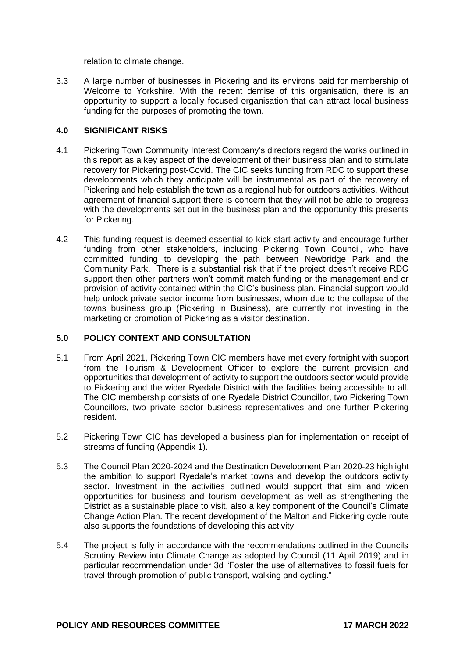relation to climate change.

3.3 A large number of businesses in Pickering and its environs paid for membership of Welcome to Yorkshire. With the recent demise of this organisation, there is an opportunity to support a locally focused organisation that can attract local business funding for the purposes of promoting the town.

# **4.0 SIGNIFICANT RISKS**

- 4.1 Pickering Town Community Interest Company's directors regard the works outlined in this report as a key aspect of the development of their business plan and to stimulate recovery for Pickering post-Covid. The CIC seeks funding from RDC to support these developments which they anticipate will be instrumental as part of the recovery of Pickering and help establish the town as a regional hub for outdoors activities. Without agreement of financial support there is concern that they will not be able to progress with the developments set out in the business plan and the opportunity this presents for Pickering.
- 4.2 This funding request is deemed essential to kick start activity and encourage further funding from other stakeholders, including Pickering Town Council, who have committed funding to developing the path between Newbridge Park and the Community Park. There is a substantial risk that if the project doesn't receive RDC support then other partners won't commit match funding or the management and or provision of activity contained within the CIC's business plan. Financial support would help unlock private sector income from businesses, whom due to the collapse of the towns business group (Pickering in Business), are currently not investing in the marketing or promotion of Pickering as a visitor destination.

### **5.0 POLICY CONTEXT AND CONSULTATION**

- 5.1 From April 2021, Pickering Town CIC members have met every fortnight with support from the Tourism & Development Officer to explore the current provision and opportunities that development of activity to support the outdoors sector would provide to Pickering and the wider Ryedale District with the facilities being accessible to all. The CIC membership consists of one Ryedale District Councillor, two Pickering Town Councillors, two private sector business representatives and one further Pickering resident.
- 5.2 Pickering Town CIC has developed a business plan for implementation on receipt of streams of funding (Appendix 1).
- 5.3 The Council Plan 2020-2024 and the Destination Development Plan 2020-23 highlight the ambition to support Ryedale's market towns and develop the outdoors activity sector. Investment in the activities outlined would support that aim and widen opportunities for business and tourism development as well as strengthening the District as a sustainable place to visit, also a key component of the Council's Climate Change Action Plan. The recent development of the Malton and Pickering cycle route also supports the foundations of developing this activity.
- 5.4 The project is fully in accordance with the recommendations outlined in the Councils Scrutiny Review into Climate Change as adopted by Council (11 April 2019) and in particular recommendation under 3d "Foster the use of alternatives to fossil fuels for travel through promotion of public transport, walking and cycling."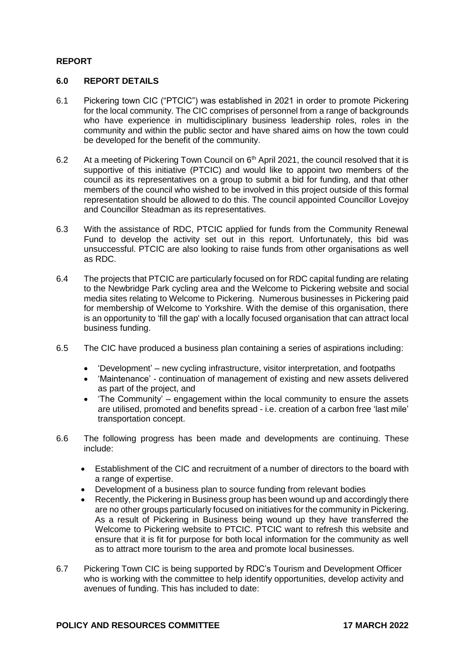# **REPORT**

# **6.0 REPORT DETAILS**

- 6.1 Pickering town CIC ("PTCIC") was established in 2021 in order to promote Pickering for the local community. The CIC comprises of personnel from a range of backgrounds who have experience in multidisciplinary business leadership roles, roles in the community and within the public sector and have shared aims on how the town could be developed for the benefit of the community.
- 6.2 At a meeting of Pickering Town Council on 6<sup>th</sup> April 2021, the council resolved that it is supportive of this initiative (PTCIC) and would like to appoint two members of the council as its representatives on a group to submit a bid for funding, and that other members of the council who wished to be involved in this project outside of this formal representation should be allowed to do this. The council appointed Councillor Lovejoy and Councillor Steadman as its representatives.
- 6.3 With the assistance of RDC, PTCIC applied for funds from the Community Renewal Fund to develop the activity set out in this report. Unfortunately, this bid was unsuccessful. PTCIC are also looking to raise funds from other organisations as well as RDC.
- 6.4 The projects that PTCIC are particularly focused on for RDC capital funding are relating to the Newbridge Park cycling area and the Welcome to Pickering website and social media sites relating to Welcome to Pickering. Numerous businesses in Pickering paid for membership of Welcome to Yorkshire. With the demise of this organisation, there is an opportunity to 'fill the gap' with a locally focused organisation that can attract local business funding.
- 6.5 The CIC have produced a business plan containing a series of aspirations including:
	- 'Development' new cycling infrastructure, visitor interpretation, and footpaths
	- 'Maintenance' continuation of management of existing and new assets delivered as part of the project, and
	- 'The Community' engagement within the local community to ensure the assets are utilised, promoted and benefits spread - i.e. creation of a carbon free 'last mile' transportation concept.
- 6.6 The following progress has been made and developments are continuing. These include:
	- Establishment of the CIC and recruitment of a number of directors to the board with a range of expertise.
	- Development of a business plan to source funding from relevant bodies
	- Recently, the Pickering in Business group has been wound up and accordingly there are no other groups particularly focused on initiatives for the community in Pickering. As a result of Pickering in Business being wound up they have transferred the Welcome to Pickering website to PTCIC. PTCIC want to refresh this website and ensure that it is fit for purpose for both local information for the community as well as to attract more tourism to the area and promote local businesses.
- 6.7 Pickering Town CIC is being supported by RDC's Tourism and Development Officer who is working with the committee to help identify opportunities, develop activity and avenues of funding. This has included to date: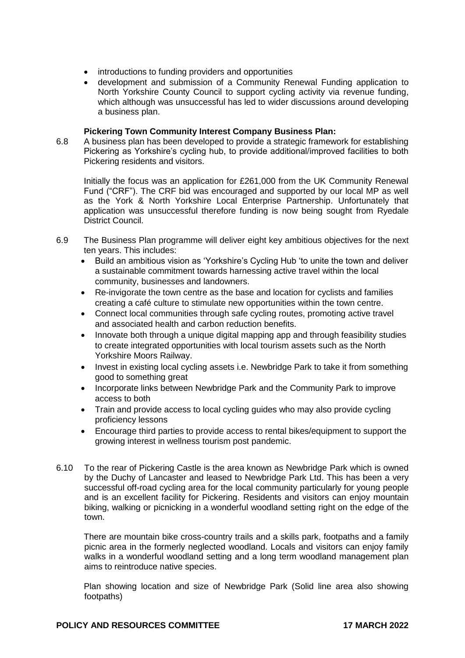- introductions to funding providers and opportunities
- development and submission of a Community Renewal Funding application to North Yorkshire County Council to support cycling activity via revenue funding, which although was unsuccessful has led to wider discussions around developing a business plan.

### **Pickering Town Community Interest Company Business Plan:**

6.8 A business plan has been developed to provide a strategic framework for establishing Pickering as Yorkshire's cycling hub, to provide additional/improved facilities to both Pickering residents and visitors.

Initially the focus was an application for £261,000 from the UK Community Renewal Fund ("CRF"). The CRF bid was encouraged and supported by our local MP as well as the York & North Yorkshire Local Enterprise Partnership. Unfortunately that application was unsuccessful therefore funding is now being sought from Ryedale District Council.

- 6.9 The Business Plan programme will deliver eight key ambitious objectives for the next ten years. This includes:
	- Build an ambitious vision as 'Yorkshire's Cycling Hub 'to unite the town and deliver a sustainable commitment towards harnessing active travel within the local community, businesses and landowners.
	- Re-invigorate the town centre as the base and location for cyclists and families creating a café culture to stimulate new opportunities within the town centre.
	- Connect local communities through safe cycling routes, promoting active travel and associated health and carbon reduction benefits.
	- Innovate both through a unique digital mapping app and through feasibility studies to create integrated opportunities with local tourism assets such as the North Yorkshire Moors Railway.
	- Invest in existing local cycling assets i.e. Newbridge Park to take it from something good to something great
	- Incorporate links between Newbridge Park and the Community Park to improve access to both
	- Train and provide access to local cycling guides who may also provide cycling proficiency lessons
	- Encourage third parties to provide access to rental bikes/equipment to support the growing interest in wellness tourism post pandemic.
- 6.10 To the rear of Pickering Castle is the area known as Newbridge Park which is owned by the Duchy of Lancaster and leased to Newbridge Park Ltd. This has been a very successful off-road cycling area for the local community particularly for young people and is an excellent facility for Pickering. Residents and visitors can enjoy mountain biking, walking or picnicking in a wonderful woodland setting right on the edge of the town.

There are mountain bike cross-country trails and a skills park, footpaths and a family picnic area in the formerly neglected woodland. Locals and visitors can enjoy family walks in a wonderful woodland setting and a long term woodland management plan aims to reintroduce native species.

Plan showing location and size of Newbridge Park (Solid line area also showing footpaths)

### **POLICY AND RESOURCES COMMITTEE 17 MARCH 2022**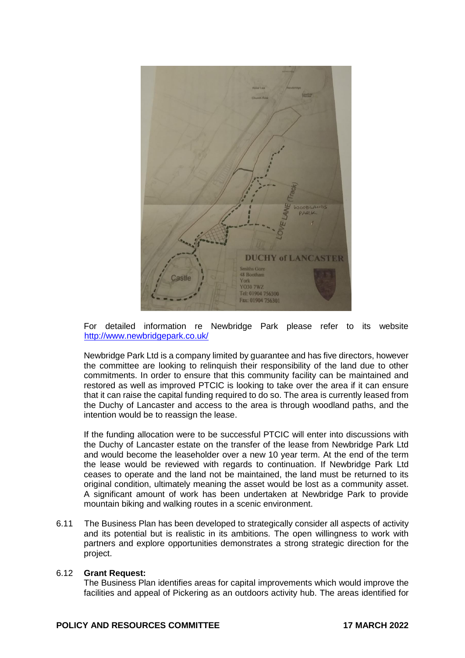

For detailed information re Newbridge Park please refer to its website <http://www.newbridgepark.co.uk/>

Newbridge Park Ltd is a company limited by guarantee and has five directors, however the committee are looking to relinquish their responsibility of the land due to other commitments. In order to ensure that this community facility can be maintained and restored as well as improved PTCIC is looking to take over the area if it can ensure that it can raise the capital funding required to do so. The area is currently leased from the Duchy of Lancaster and access to the area is through woodland paths, and the intention would be to reassign the lease.

If the funding allocation were to be successful PTCIC will enter into discussions with the Duchy of Lancaster estate on the transfer of the lease from Newbridge Park Ltd and would become the leaseholder over a new 10 year term. At the end of the term the lease would be reviewed with regards to continuation. If Newbridge Park Ltd ceases to operate and the land not be maintained, the land must be returned to its original condition, ultimately meaning the asset would be lost as a community asset. A significant amount of work has been undertaken at Newbridge Park to provide mountain biking and walking routes in a scenic environment.

6.11 The Business Plan has been developed to strategically consider all aspects of activity and its potential but is realistic in its ambitions. The open willingness to work with partners and explore opportunities demonstrates a strong strategic direction for the project.

### 6.12 **Grant Request:**

The Business Plan identifies areas for capital improvements which would improve the facilities and appeal of Pickering as an outdoors activity hub. The areas identified for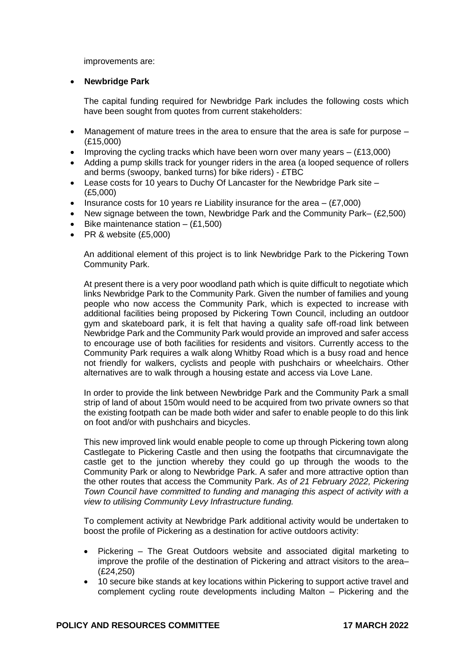improvements are:

# **Newbridge Park**

The capital funding required for Newbridge Park includes the following costs which have been sought from quotes from current stakeholders:

- Management of mature trees in the area to ensure that the area is safe for purpose (£15,000)
- Improving the cycling tracks which have been worn over many years  $(E13,000)$
- Adding a pump skills track for younger riders in the area (a looped sequence of rollers and berms (swoopy, banked turns) for bike riders) - £TBC
- Lease costs for 10 years to Duchy Of Lancaster for the Newbridge Park site (£5,000)
- Insurance costs for 10 years re Liability insurance for the area  $-$  (£7,000)
- New signage between the town, Newbridge Park and the Community Park– (£2,500)
- Bike maintenance station  $-$  (£1,500)
- PR & website (£5,000)

An additional element of this project is to link Newbridge Park to the Pickering Town Community Park.

At present there is a very poor woodland path which is quite difficult to negotiate which links Newbridge Park to the Community Park. Given the number of families and young people who now access the Community Park, which is expected to increase with additional facilities being proposed by Pickering Town Council, including an outdoor gym and skateboard park, it is felt that having a quality safe off-road link between Newbridge Park and the Community Park would provide an improved and safer access to encourage use of both facilities for residents and visitors. Currently access to the Community Park requires a walk along Whitby Road which is a busy road and hence not friendly for walkers, cyclists and people with pushchairs or wheelchairs. Other alternatives are to walk through a housing estate and access via Love Lane.

In order to provide the link between Newbridge Park and the Community Park a small strip of land of about 150m would need to be acquired from two private owners so that the existing footpath can be made both wider and safer to enable people to do this link on foot and/or with pushchairs and bicycles.

This new improved link would enable people to come up through Pickering town along Castlegate to Pickering Castle and then using the footpaths that circumnavigate the castle get to the junction whereby they could go up through the woods to the Community Park or along to Newbridge Park. A safer and more attractive option than the other routes that access the Community Park. *As of 21 February 2022, Pickering Town Council have committed to funding and managing this aspect of activity with a view to utilising Community Levy Infrastructure funding.*

To complement activity at Newbridge Park additional activity would be undertaken to boost the profile of Pickering as a destination for active outdoors activity:

- Pickering The Great Outdoors website and associated digital marketing to improve the profile of the destination of Pickering and attract visitors to the area– (£24,250)
- 10 secure bike stands at key locations within Pickering to support active travel and complement cycling route developments including Malton – Pickering and the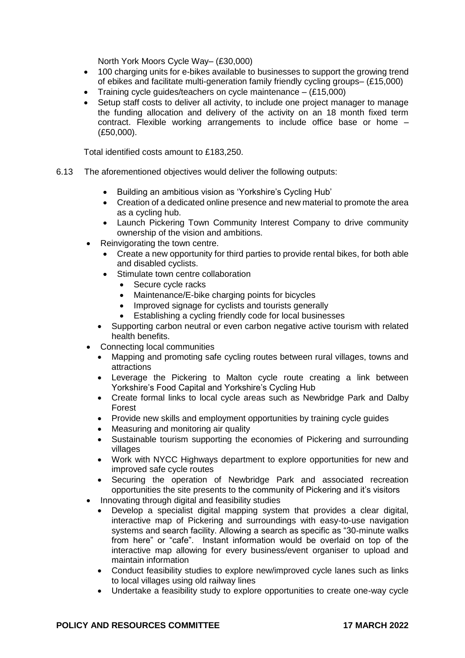North York Moors Cycle Way– (£30,000)

- 100 charging units for e-bikes available to businesses to support the growing trend of ebikes and facilitate multi-generation family friendly cycling groups– (£15,000)
- Training cycle guides/teachers on cycle maintenance (£15,000)
- Setup staff costs to deliver all activity, to include one project manager to manage the funding allocation and delivery of the activity on an 18 month fixed term contract. Flexible working arrangements to include office base or home – (£50,000).

Total identified costs amount to £183,250.

- 6.13 The aforementioned objectives would deliver the following outputs:
	- Building an ambitious vision as 'Yorkshire's Cycling Hub'
	- Creation of a dedicated online presence and new material to promote the area as a cycling hub.
	- Launch Pickering Town Community Interest Company to drive community ownership of the vision and ambitions.
	- Reinvigorating the town centre.
		- Create a new opportunity for third parties to provide rental bikes, for both able and disabled cyclists.
		- Stimulate town centre collaboration
			- Secure cycle racks
			- Maintenance/E-bike charging points for bicycles
			- Improved signage for cyclists and tourists generally
			- Establishing a cycling friendly code for local businesses
		- Supporting carbon neutral or even carbon negative active tourism with related health benefits.
	- Connecting local communities
		- Mapping and promoting safe cycling routes between rural villages, towns and attractions
		- Leverage the Pickering to Malton cycle route creating a link between Yorkshire's Food Capital and Yorkshire's Cycling Hub
		- Create formal links to local cycle areas such as Newbridge Park and Dalby Forest
		- Provide new skills and employment opportunities by training cycle guides
		- Measuring and monitoring air quality
		- Sustainable tourism supporting the economies of Pickering and surrounding villages
		- Work with NYCC Highways department to explore opportunities for new and improved safe cycle routes
		- Securing the operation of Newbridge Park and associated recreation opportunities the site presents to the community of Pickering and it's visitors
	- Innovating through digital and feasibility studies
		- Develop a specialist digital mapping system that provides a clear digital, interactive map of Pickering and surroundings with easy-to-use navigation systems and search facility. Allowing a search as specific as "30-minute walks from here" or "cafe". Instant information would be overlaid on top of the interactive map allowing for every business/event organiser to upload and maintain information
		- Conduct feasibility studies to explore new/improved cycle lanes such as links to local villages using old railway lines
		- Undertake a feasibility study to explore opportunities to create one-way cycle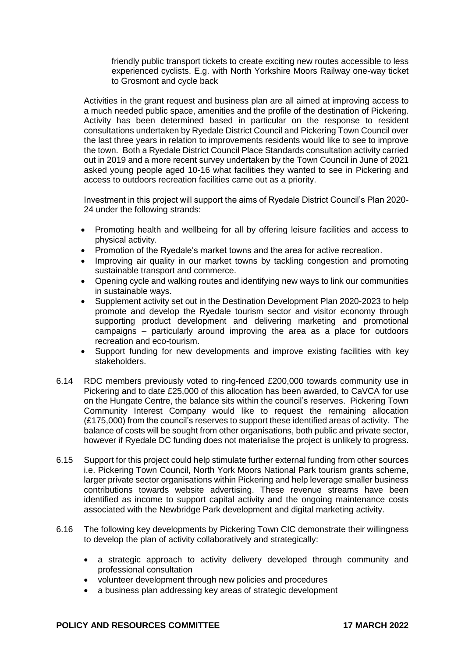friendly public transport tickets to create exciting new routes accessible to less experienced cyclists. E.g. with North Yorkshire Moors Railway one-way ticket to Grosmont and cycle back

Activities in the grant request and business plan are all aimed at improving access to a much needed public space, amenities and the profile of the destination of Pickering. Activity has been determined based in particular on the response to resident consultations undertaken by Ryedale District Council and Pickering Town Council over the last three years in relation to improvements residents would like to see to improve the town. Both a Ryedale District Council Place Standards consultation activity carried out in 2019 and a more recent survey undertaken by the Town Council in June of 2021 asked young people aged 10-16 what facilities they wanted to see in Pickering and access to outdoors recreation facilities came out as a priority.

Investment in this project will support the aims of Ryedale District Council's Plan 2020- 24 under the following strands:

- Promoting health and wellbeing for all by offering leisure facilities and access to physical activity.
- Promotion of the Ryedale's market towns and the area for active recreation.
- Improving air quality in our market towns by tackling congestion and promoting sustainable transport and commerce.
- Opening cycle and walking routes and identifying new ways to link our communities in sustainable ways.
- Supplement activity set out in the Destination Development Plan 2020-2023 to help promote and develop the Ryedale tourism sector and visitor economy through supporting product development and delivering marketing and promotional campaigns – particularly around improving the area as a place for outdoors recreation and eco-tourism.
- Support funding for new developments and improve existing facilities with key stakeholders.
- 6.14 RDC members previously voted to ring-fenced £200,000 towards community use in Pickering and to date £25,000 of this allocation has been awarded, to CaVCA for use on the Hungate Centre, the balance sits within the council's reserves. Pickering Town Community Interest Company would like to request the remaining allocation (£175,000) from the council's reserves to support these identified areas of activity. The balance of costs will be sought from other organisations, both public and private sector, however if Ryedale DC funding does not materialise the project is unlikely to progress.
- 6.15 Support for this project could help stimulate further external funding from other sources i.e. Pickering Town Council, North York Moors National Park tourism grants scheme, larger private sector organisations within Pickering and help leverage smaller business contributions towards website advertising. These revenue streams have been identified as income to support capital activity and the ongoing maintenance costs associated with the Newbridge Park development and digital marketing activity.
- 6.16 The following key developments by Pickering Town CIC demonstrate their willingness to develop the plan of activity collaboratively and strategically:
	- a strategic approach to activity delivery developed through community and professional consultation
	- volunteer development through new policies and procedures
	- a business plan addressing key areas of strategic development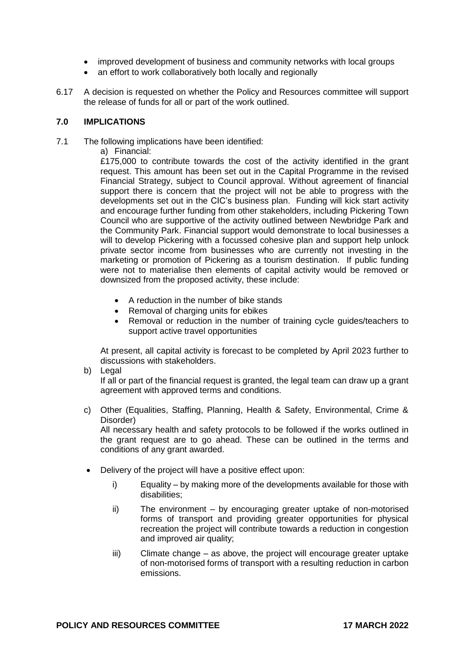- improved development of business and community networks with local groups
- an effort to work collaboratively both locally and regionally
- 6.17 A decision is requested on whether the Policy and Resources committee will support the release of funds for all or part of the work outlined.

# **7.0 IMPLICATIONS**

- 7.1 The following implications have been identified:
	- a) Financial:

£175,000 to contribute towards the cost of the activity identified in the grant request. This amount has been set out in the Capital Programme in the revised Financial Strategy, subject to Council approval. Without agreement of financial support there is concern that the project will not be able to progress with the developments set out in the CIC's business plan. Funding will kick start activity and encourage further funding from other stakeholders, including Pickering Town Council who are supportive of the activity outlined between Newbridge Park and the Community Park. Financial support would demonstrate to local businesses a will to develop Pickering with a focussed cohesive plan and support help unlock private sector income from businesses who are currently not investing in the marketing or promotion of Pickering as a tourism destination. If public funding were not to materialise then elements of capital activity would be removed or downsized from the proposed activity, these include:

- A reduction in the number of bike stands
- Removal of charging units for ebikes
- Removal or reduction in the number of training cycle guides/teachers to support active travel opportunities

At present, all capital activity is forecast to be completed by April 2023 further to discussions with stakeholders.

b) Legal

If all or part of the financial request is granted, the legal team can draw up a grant agreement with approved terms and conditions.

c) Other (Equalities, Staffing, Planning, Health & Safety, Environmental, Crime & Disorder)

All necessary health and safety protocols to be followed if the works outlined in the grant request are to go ahead. These can be outlined in the terms and conditions of any grant awarded.

- Delivery of the project will have a positive effect upon:
	- i) Equality by making more of the developments available for those with disabilities;
	- ii) The environment by encouraging greater uptake of non-motorised forms of transport and providing greater opportunities for physical recreation the project will contribute towards a reduction in congestion and improved air quality;
	- iii) Climate change as above, the project will encourage greater uptake of non-motorised forms of transport with a resulting reduction in carbon emissions.